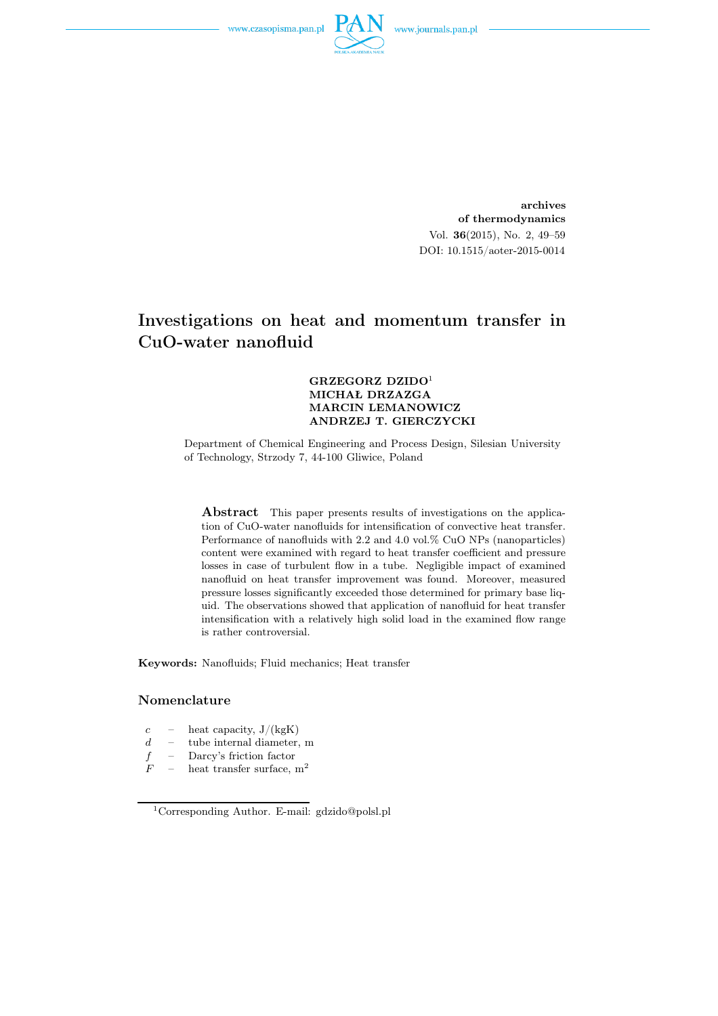

archives of thermodynamics Vol. 36(2015), No. 2, 49–59 DOI: 10.1515/aoter-2015-0014

# Investigations on heat and momentum transfer in CuO-water nanofluid

#### GRZEGORZ DZIDO<sup>1</sup> MICHAŁ DRZAZGA MARCIN LEMANOWICZ ANDRZEJ T. GIERCZYCKI

Department of Chemical Engineering and Process Design, Silesian University of Technology, Strzody 7, 44-100 Gliwice, Poland

Abstract This paper presents results of investigations on the application of CuO-water nanofluids for intensification of convective heat transfer. Performance of nanofluids with 2.2 and 4.0 vol.% CuO NPs (nanoparticles) content were examined with regard to heat transfer coefficient and pressure losses in case of turbulent flow in a tube. Negligible impact of examined nanofluid on heat transfer improvement was found. Moreover, measured pressure losses significantly exceeded those determined for primary base liquid. The observations showed that application of nanofluid for heat transfer intensification with a relatively high solid load in the examined flow range is rather controversial.

Keywords: Nanofluids; Fluid mechanics; Heat transfer

#### Nomenclature

- $c$  heat capacity,  $J/(kgK)$
- $d =$  tube internal diameter, m
- $f -$  Darcy's friction factor<br> $F -$  heat transfer surface.
- heat transfer surface,  $\mathrm{m}^2$

<sup>1</sup>Corresponding Author. E-mail: gdzido@polsl.pl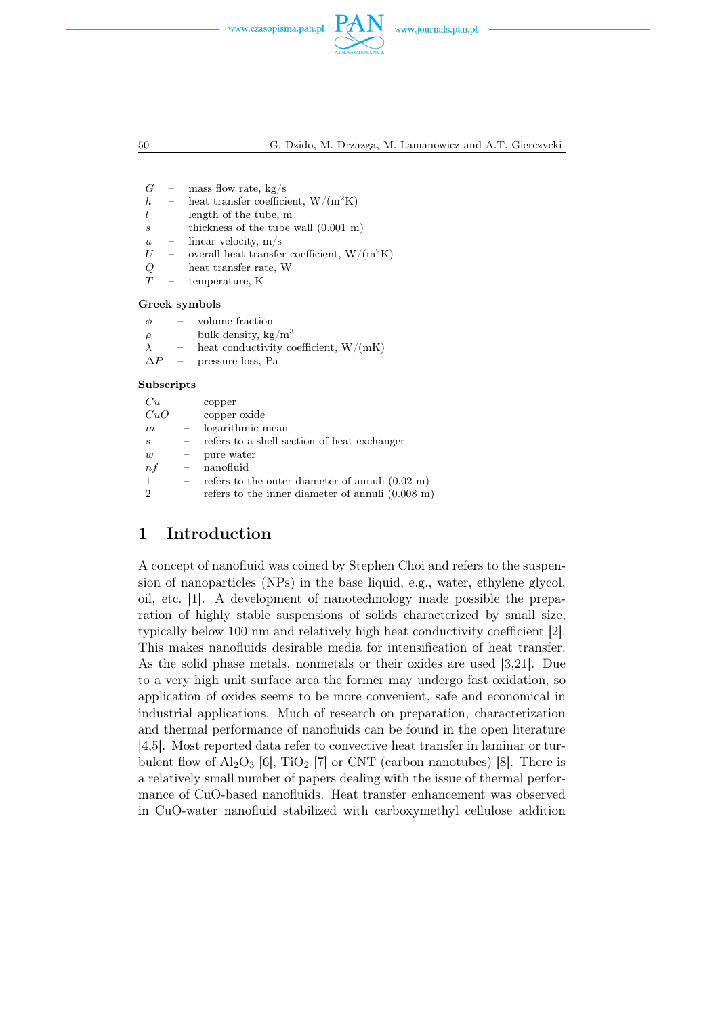

50 G. Dzido, M. Drzazga, M. Lamanowicz and A.T. Gierczycki

- $G$  mass flow rate, kg/s
- h heat transfer coefficient,  $W/(m^2K)$
- $l$  length of the tube, m
- $s$  thickness of the tube wall  $(0.001 \text{ m})$
- $u$  linear velocity, m/s
- $U$  overall heat transfer coefficient,  $W/(m^2K)$ <br>  $Q$  heat transfer rate, W<br>  $T$  temperature. K
- heat transfer rate, W
- temperature, K

#### Greek symbols

- $\rho$  bulk density, kg/m<sup>3</sup>
- $\lambda$  heat conductivity coefficient, W/(mK)

 $\Delta P$  – pressure loss, Pa

#### Subscripts

| Cu      |                          | copper                                                     |
|---------|--------------------------|------------------------------------------------------------|
| $CuO =$ |                          | copper oxide                                               |
| m       |                          | logarithmic mean                                           |
| S       |                          | refers to a shell section of heat exchanger                |
| w       |                          | pure water                                                 |
| n f     | $\overline{\phantom{m}}$ | nanofluid                                                  |
| 1       |                          | refers to the outer diameter of annuli $(0.02 \text{ m})$  |
| 2       |                          | refers to the inner diameter of annuli $(0.008 \text{ m})$ |

## 1 Introduction

A concept of nanofluid was coined by Stephen Choi and refers to the suspension of nanoparticles (NPs) in the base liquid, e.g., water, ethylene glycol, oil, etc. [1]. A development of nanotechnology made possible the preparation of highly stable suspensions of solids characterized by small size, typically below 100 nm and relatively high heat conductivity coefficient [2]. This makes nanofluids desirable media for intensification of heat transfer. As the solid phase metals, nonmetals or their oxides are used [3,21]. Due to a very high unit surface area the former may undergo fast oxidation, so application of oxides seems to be more convenient, safe and economical in industrial applications. Much of research on preparation, characterization and thermal performance of nanofluids can be found in the open literature [4,5]. Most reported data refer to convective heat transfer in laminar or turbulent flow of  $\text{Al}_2\text{O}_3$  [6], TiO<sub>2</sub> [7] or CNT (carbon nanotubes) [8]. There is a relatively small number of papers dealing with the issue of thermal performance of CuO-based nanofluids. Heat transfer enhancement was observed in CuO-water nanofluid stabilized with carboxymethyl cellulose addition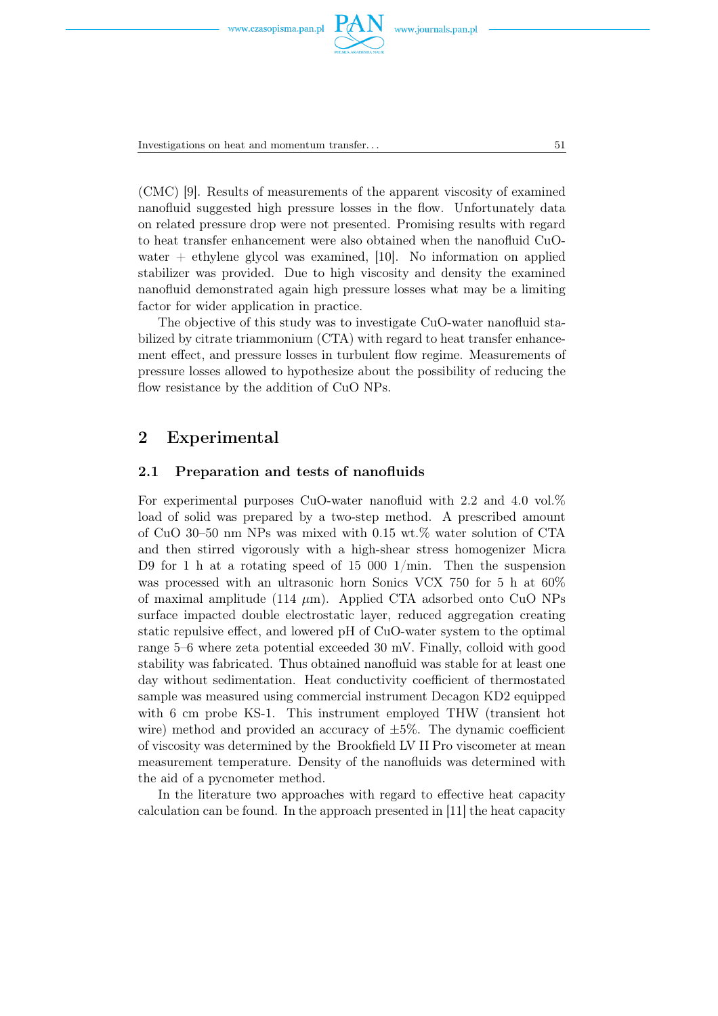

Investigations on heat and momentum transfer... 51

(CMC) [9]. Results of measurements of the apparent viscosity of examined nanofluid suggested high pressure losses in the flow. Unfortunately data on related pressure drop were not presented. Promising results with regard to heat transfer enhancement were also obtained when the nanofluid CuOwater  $+$  ethylene glycol was examined, [10]. No information on applied stabilizer was provided. Due to high viscosity and density the examined nanofluid demonstrated again high pressure losses what may be a limiting factor for wider application in practice.

The objective of this study was to investigate CuO-water nanofluid stabilized by citrate triammonium (CTA) with regard to heat transfer enhancement effect, and pressure losses in turbulent flow regime. Measurements of pressure losses allowed to hypothesize about the possibility of reducing the flow resistance by the addition of CuO NPs.

## 2 Experimental

### 2.1 Preparation and tests of nanofluids

For experimental purposes CuO-water nanofluid with 2.2 and 4.0 vol.% load of solid was prepared by a two-step method. A prescribed amount of CuO 30–50 nm NPs was mixed with 0.15 wt.% water solution of CTA and then stirred vigorously with a high-shear stress homogenizer Micra D9 for 1 h at a rotating speed of 15 000  $1/\text{min}$ . Then the suspension was processed with an ultrasonic horn Sonics VCX 750 for 5 h at 60% of maximal amplitude (114  $\mu$ m). Applied CTA adsorbed onto CuO NPs surface impacted double electrostatic layer, reduced aggregation creating static repulsive effect, and lowered pH of CuO-water system to the optimal range 5–6 where zeta potential exceeded 30 mV. Finally, colloid with good stability was fabricated. Thus obtained nanofluid was stable for at least one day without sedimentation. Heat conductivity coefficient of thermostated sample was measured using commercial instrument Decagon KD2 equipped with 6 cm probe KS-1. This instrument employed THW (transient hot wire) method and provided an accuracy of  $\pm 5\%$ . The dynamic coefficient of viscosity was determined by the Brookfield LV II Pro viscometer at mean measurement temperature. Density of the nanofluids was determined with the aid of a pycnometer method.

In the literature two approaches with regard to effective heat capacity calculation can be found. In the approach presented in [11] the heat capacity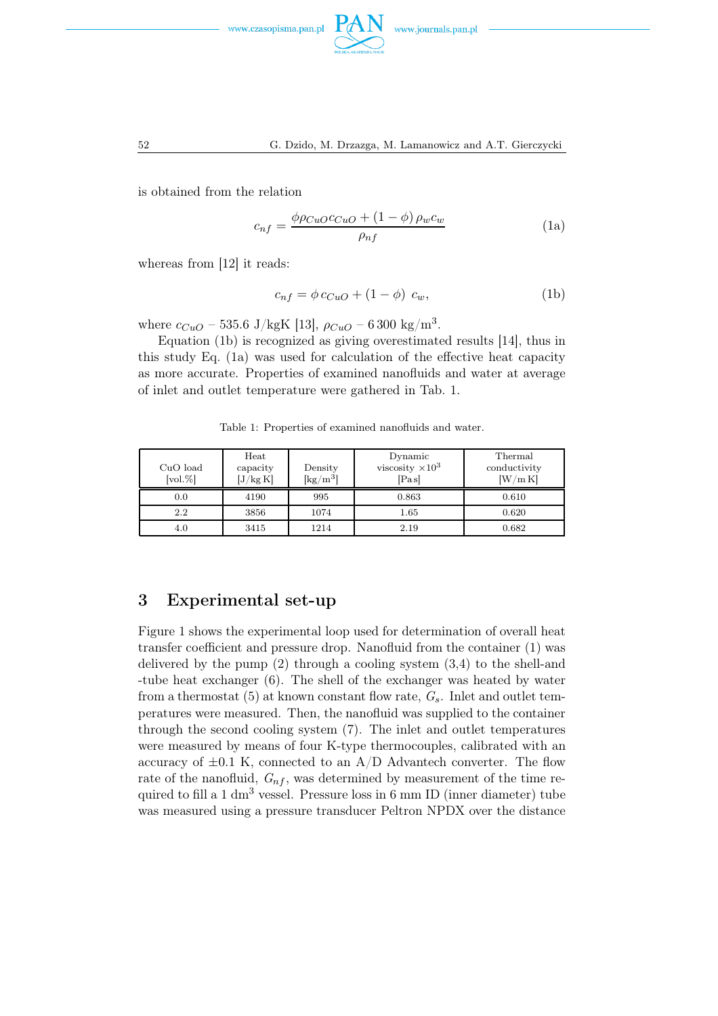



is obtained from the relation

$$
c_{nf} = \frac{\phi \rho_{CuO} c_{CuO} + (1 - \phi) \rho_w c_w}{\rho_{nf}}
$$
(1a)

whereas from [12] it reads:

$$
c_{nf} = \phi c_{CuO} + (1 - \phi) c_w, \qquad (1b)
$$

where  $c_{CuO}$  – 535.6 J/kgK [13],  $\rho_{CuO}$  – 6300 kg/m<sup>3</sup>.

Equation (1b) is recognized as giving overestimated results [14], thus in this study Eq. (1a) was used for calculation of the effective heat capacity as more accurate. Properties of examined nanofluids and water at average of inlet and outlet temperature were gathered in Tab. 1.

Table 1: Properties of examined nanofluids and water.

| CuO load<br>$\lbrack \text{vol.}\% \rbrack$ | Heat<br>capacity<br>[J/kg K] | Density<br>$\left[\mathrm{kg}/\mathrm{m}^3\right]$ | Dynamic<br>viscosity $\times 10^3$<br>[Pa s] | Thermal<br>conductivity<br>[W/m K] |
|---------------------------------------------|------------------------------|----------------------------------------------------|----------------------------------------------|------------------------------------|
| 0.0                                         | 4190                         | 995                                                | 0.863                                        | 0.610                              |
| 2.2                                         | 3856                         | 1074                                               | 1.65                                         | 0.620                              |
| 4.0                                         | 3415                         | 1214                                               | 2.19                                         | 0.682                              |

## 3 Experimental set-up

Figure 1 shows the experimental loop used for determination of overall heat transfer coefficient and pressure drop. Nanofluid from the container (1) was delivered by the pump  $(2)$  through a cooling system  $(3,4)$  to the shell-and -tube heat exchanger (6). The shell of the exchanger was heated by water from a thermostat (5) at known constant flow rate,  $G_s$ . Inlet and outlet temperatures were measured. Then, the nanofluid was supplied to the container through the second cooling system (7). The inlet and outlet temperatures were measured by means of four K-type thermocouples, calibrated with an accuracy of  $\pm 0.1$  K, connected to an A/D Advantech converter. The flow rate of the nanofluid,  $G_{nf}$ , was determined by measurement of the time required to fill a  $1 \text{ dm}^3$  vessel. Pressure loss in 6 mm ID (inner diameter) tube was measured using a pressure transducer Peltron NPDX over the distance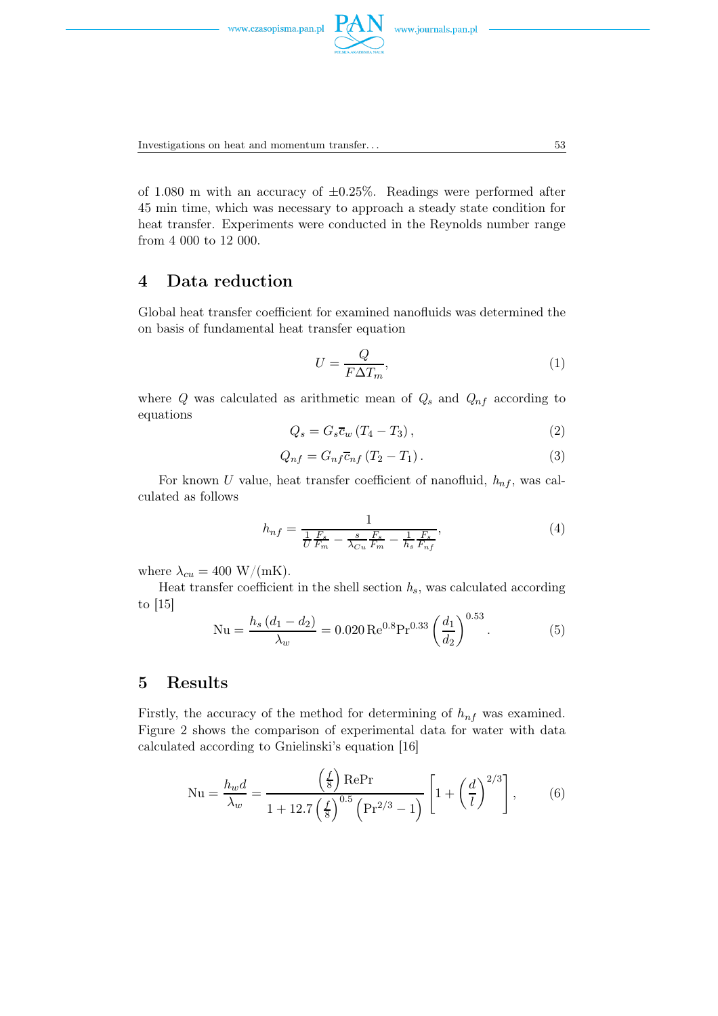

Investigations on heat and momentum transfer. . . 53

of 1.080 m with an accuracy of  $\pm 0.25\%$ . Readings were performed after 45 min time, which was necessary to approach a steady state condition for heat transfer. Experiments were conducted in the Reynolds number range from 4 000 to 12 000.

## 4 Data reduction

Global heat transfer coefficient for examined nanofluids was determined the on basis of fundamental heat transfer equation

$$
U = \frac{Q}{F\Delta T_m},\tag{1}
$$

where Q was calculated as arithmetic mean of  $Q_s$  and  $Q_{nf}$  according to equations

$$
Q_s = G_s \overline{c}_w \left( T_4 - T_3 \right), \tag{2}
$$

$$
Q_{nf} = G_{nf} \overline{c}_{nf} \left( T_2 - T_1 \right). \tag{3}
$$

For known U value, heat transfer coefficient of nanofluid,  $h_{nf}$ , was calculated as follows

$$
h_{nf} = \frac{1}{\frac{1}{U}\frac{F_s}{F_m} - \frac{s}{\lambda_{Cu}}\frac{F_s}{F_m} - \frac{1}{h_s}\frac{F_s}{F_{nf}}},\tag{4}
$$

where  $\lambda_{cu} = 400 \text{ W/(mK)}$ .

Heat transfer coefficient in the shell section  $h_s$ , was calculated according to [15]

$$
Nu = \frac{h_s (d_1 - d_2)}{\lambda_w} = 0.020 \text{ Re}^{0.8} \text{Pr}^{0.33} \left(\frac{d_1}{d_2}\right)^{0.53}.
$$
 (5)

## 5 Results

Firstly, the accuracy of the method for determining of  $h_{nf}$  was examined. Figure 2 shows the comparison of experimental data for water with data calculated according to Gnielinski's equation [16]

$$
Nu = \frac{h_w d}{\lambda_w} = \frac{\left(\frac{f}{8}\right) \text{RePr}}{1 + 12.7 \left(\frac{f}{8}\right)^{0.5} \left(\text{Pr}^{2/3} - 1\right)} \left[1 + \left(\frac{d}{l}\right)^{2/3}\right],\tag{6}
$$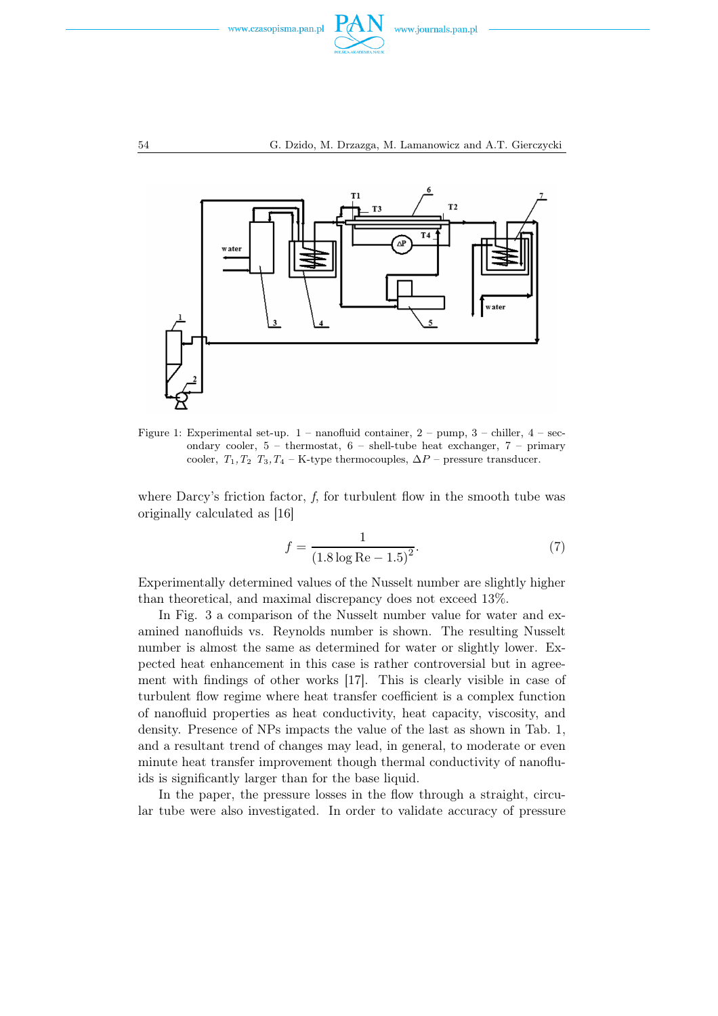



Figure 1: Experimental set-up.  $1$  – nanofluid container,  $2$  – pump,  $3$  – chiller,  $4$  – secondary cooler,  $5$  – thermostat,  $6$  – shell-tube heat exchanger,  $7$  – primary cooler,  $T_1, T_2, T_3, T_4$  – K-type thermocouples,  $\Delta P$  – pressure transducer.

where Darcy's friction factor,  $f$ , for turbulent flow in the smooth tube was originally calculated as [16]

$$
f = \frac{1}{(1.8 \log \text{Re} - 1.5)^2}.
$$
 (7)

Experimentally determined values of the Nusselt number are slightly higher than theoretical, and maximal discrepancy does not exceed 13%.

In Fig. 3 a comparison of the Nusselt number value for water and examined nanofluids vs. Reynolds number is shown. The resulting Nusselt number is almost the same as determined for water or slightly lower. Expected heat enhancement in this case is rather controversial but in agreement with findings of other works [17]. This is clearly visible in case of turbulent flow regime where heat transfer coefficient is a complex function of nanofluid properties as heat conductivity, heat capacity, viscosity, and density. Presence of NPs impacts the value of the last as shown in Tab. 1, and a resultant trend of changes may lead, in general, to moderate or even minute heat transfer improvement though thermal conductivity of nanofluids is significantly larger than for the base liquid.

In the paper, the pressure losses in the flow through a straight, circular tube were also investigated. In order to validate accuracy of pressure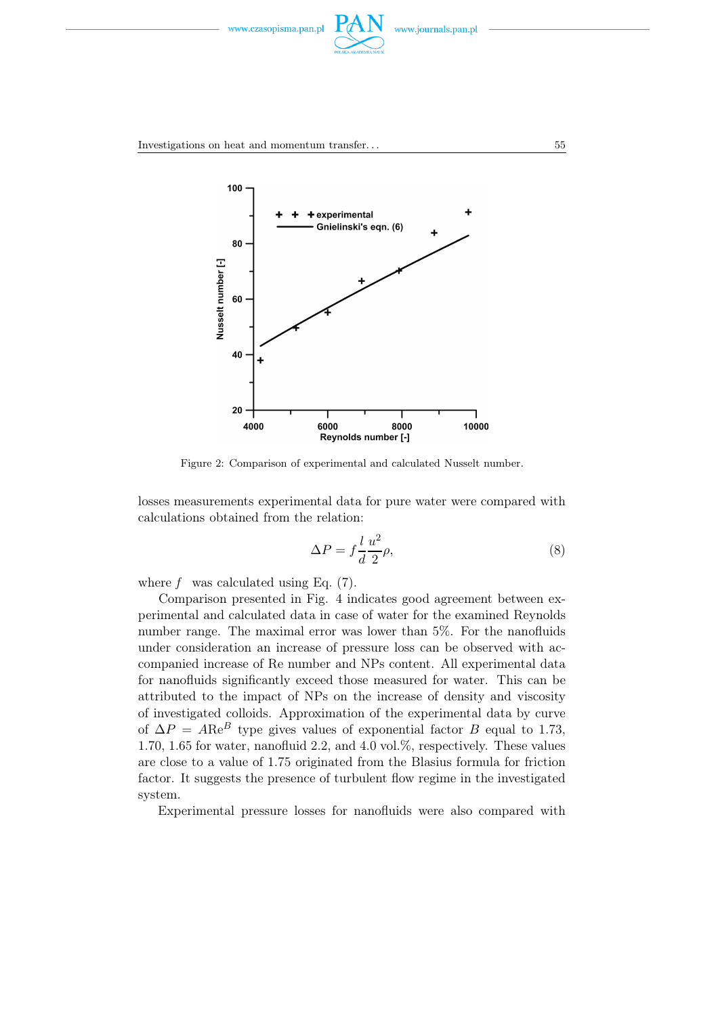



Figure 2: Comparison of experimental and calculated Nusselt number.

losses measurements experimental data for pure water were compared with calculations obtained from the relation:

$$
\Delta P = f \frac{l}{d} \frac{u^2}{2} \rho,\tag{8}
$$

where f was calculated using Eq.  $(7)$ .

Comparison presented in Fig. 4 indicates good agreement between experimental and calculated data in case of water for the examined Reynolds number range. The maximal error was lower than 5%. For the nanofluids under consideration an increase of pressure loss can be observed with accompanied increase of Re number and NPs content. All experimental data for nanofluids significantly exceed those measured for water. This can be attributed to the impact of NPs on the increase of density and viscosity of investigated colloids. Approximation of the experimental data by curve of  $\Delta P = ARe^B$  type gives values of exponential factor B equal to 1.73, 1.70, 1.65 for water, nanofluid 2.2, and 4.0 vol.%, respectively. These values are close to a value of 1.75 originated from the Blasius formula for friction factor. It suggests the presence of turbulent flow regime in the investigated system.

Experimental pressure losses for nanofluids were also compared with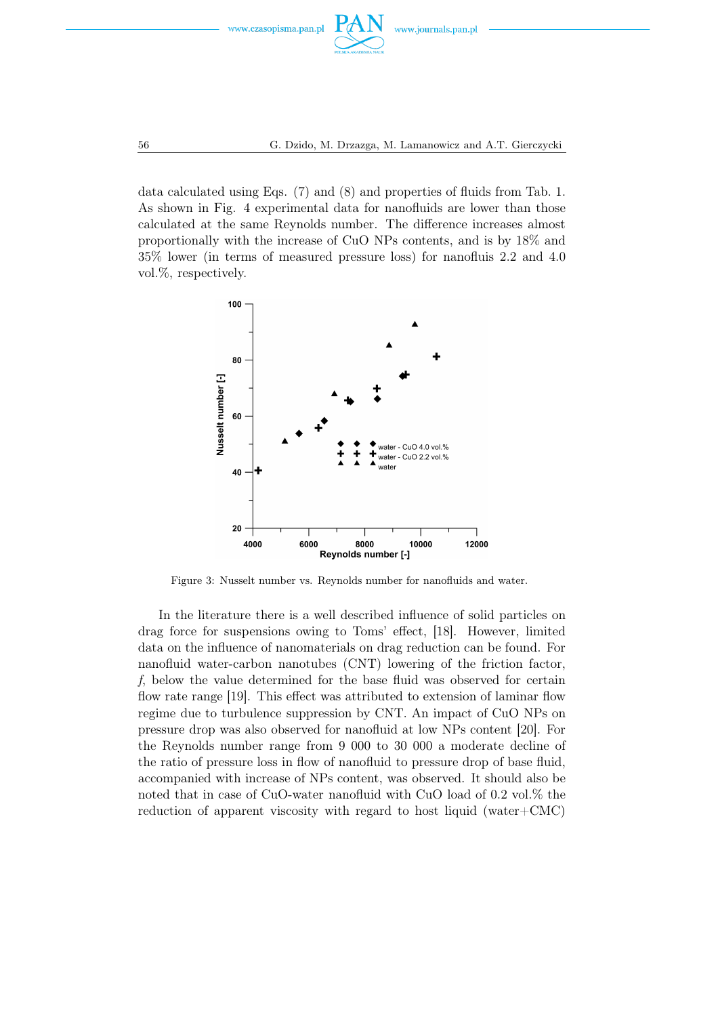

data calculated using Eqs. (7) and (8) and properties of fluids from Tab. 1. As shown in Fig. 4 experimental data for nanofluids are lower than those calculated at the same Reynolds number. The difference increases almost proportionally with the increase of CuO NPs contents, and is by 18% and 35% lower (in terms of measured pressure loss) for nanofluis 2.2 and 4.0 vol.%, respectively.



Figure 3: Nusselt number vs. Reynolds number for nanofluids and water.

In the literature there is a well described influence of solid particles on drag force for suspensions owing to Toms' effect, [18]. However, limited data on the influence of nanomaterials on drag reduction can be found. For nanofluid water-carbon nanotubes (CNT) lowering of the friction factor, f, below the value determined for the base fluid was observed for certain flow rate range [19]. This effect was attributed to extension of laminar flow regime due to turbulence suppression by CNT. An impact of CuO NPs on pressure drop was also observed for nanofluid at low NPs content [20]. For the Reynolds number range from 9 000 to 30 000 a moderate decline of the ratio of pressure loss in flow of nanofluid to pressure drop of base fluid, accompanied with increase of NPs content, was observed. It should also be noted that in case of CuO-water nanofluid with CuO load of 0.2 vol.% the reduction of apparent viscosity with regard to host liquid (water+CMC)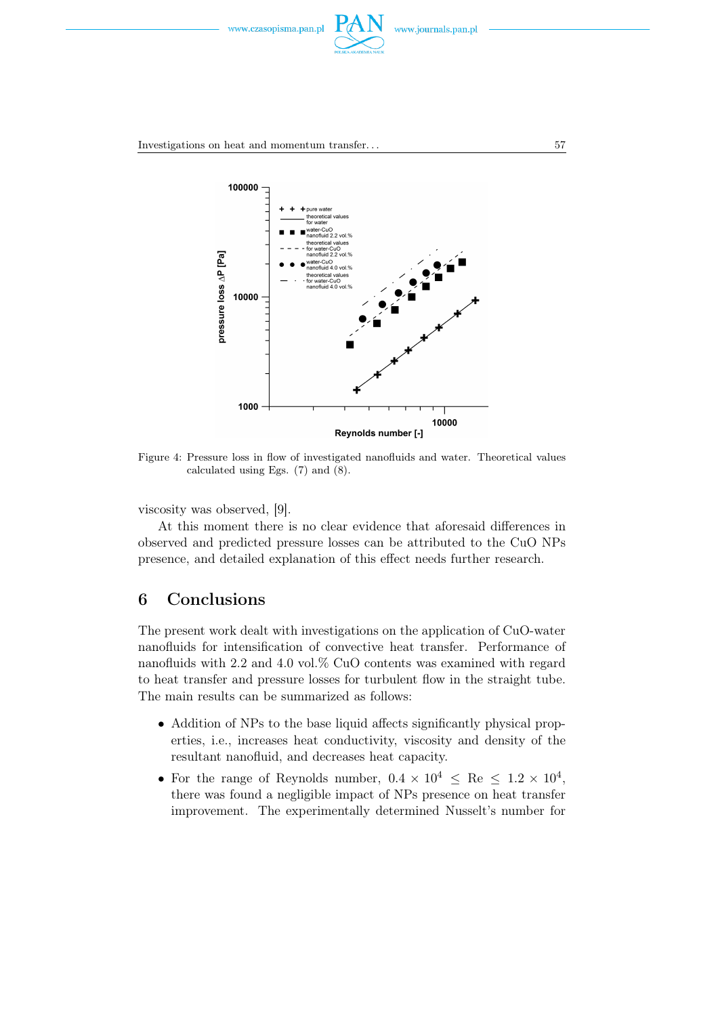



Figure 4: Pressure loss in flow of investigated nanofluids and water. Theoretical values calculated using Egs. (7) and (8).

viscosity was observed, [9].

At this moment there is no clear evidence that aforesaid differences in observed and predicted pressure losses can be attributed to the CuO NPs presence, and detailed explanation of this effect needs further research.

## 6 Conclusions

The present work dealt with investigations on the application of CuO-water nanofluids for intensification of convective heat transfer. Performance of nanofluids with 2.2 and 4.0 vol.% CuO contents was examined with regard to heat transfer and pressure losses for turbulent flow in the straight tube. The main results can be summarized as follows:

- Addition of NPs to the base liquid affects significantly physical properties, i.e., increases heat conductivity, viscosity and density of the resultant nanofluid, and decreases heat capacity.
- For the range of Reynolds number,  $0.4 \times 10^4 \leq \text{Re} \leq 1.2 \times 10^4$ , there was found a negligible impact of NPs presence on heat transfer improvement. The experimentally determined Nusselt's number for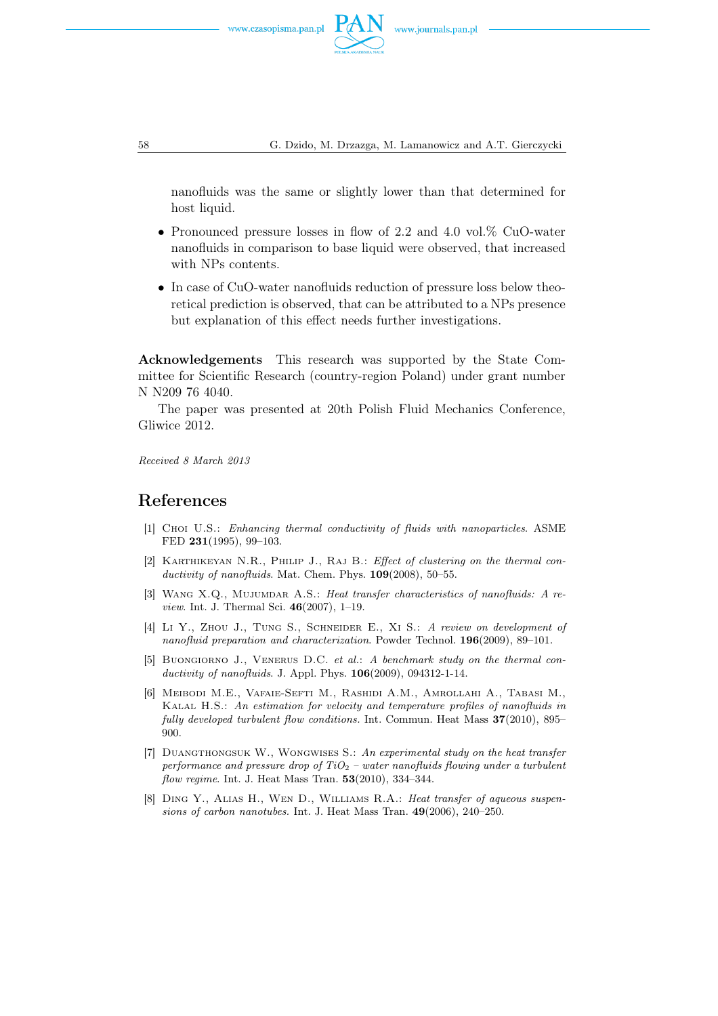

58 G. Dzido, M. Drzazga, M. Lamanowicz and A.T. Gierczycki

nanofluids was the same or slightly lower than that determined for host liquid.

- Pronounced pressure losses in flow of 2.2 and 4.0 vol.% CuO-water nanofluids in comparison to base liquid were observed, that increased with NPs contents.
- In case of CuO-water nanofluids reduction of pressure loss below theoretical prediction is observed, that can be attributed to a NPs presence but explanation of this effect needs further investigations.

Acknowledgements This research was supported by the State Committee for Scientific Research (country-region Poland) under grant number N N209 76 4040.

The paper was presented at 20th Polish Fluid Mechanics Conference, Gliwice 2012.

Received 8 March 2013

## References

- [1] Choi U.S.: Enhancing thermal conductivity of fluids with nanoparticles. ASME FED 231(1995), 99–103.
- [2] Karthikeyan N.R., Philip J., Raj B.: Effect of clustering on the thermal conductivity of nanofluids. Mat. Chem. Phys.  $109(2008)$ , 50–55.
- [3] Wang X.Q., Mujumdar A.S.: Heat transfer characteristics of nanofluids: A review. Int. J. Thermal Sci. 46(2007), 1–19.
- [4] Li Y., ZHOU J., TUNG S., SCHNEIDER E., XI S.: A review on development of nanofluid preparation and characterization. Powder Technol. 196(2009), 89–101.
- [5] Buongiorno J., Venerus D.C. et al.: A benchmark study on the thermal conductivity of nanofluids. J. Appl. Phys. **106**(2009), 094312-1-14.
- [6] Meibodi M.E., Vafaie-Sefti M., Rashidi A.M., Amrollahi A., Tabasi M., Kalal H.S.: An estimation for velocity and temperature profiles of nanofluids in fully developed turbulent flow conditions. Int. Commun. Heat Mass 37(2010), 895– 900.
- [7] DUANGTHONGSUK W., WONGWISES S.: An experimental study on the heat transfer performance and pressure drop of  $TiO<sub>2</sub>$  – water nanofluids flowing under a turbulent flow regime. Int. J. Heat Mass Tran.  $53(2010)$ ,  $334-344$ .
- [8] Ding Y., Alias H., Wen D., Williams R.A.: Heat transfer of aqueous suspensions of carbon nanotubes. Int. J. Heat Mass Tran. 49(2006), 240–250.